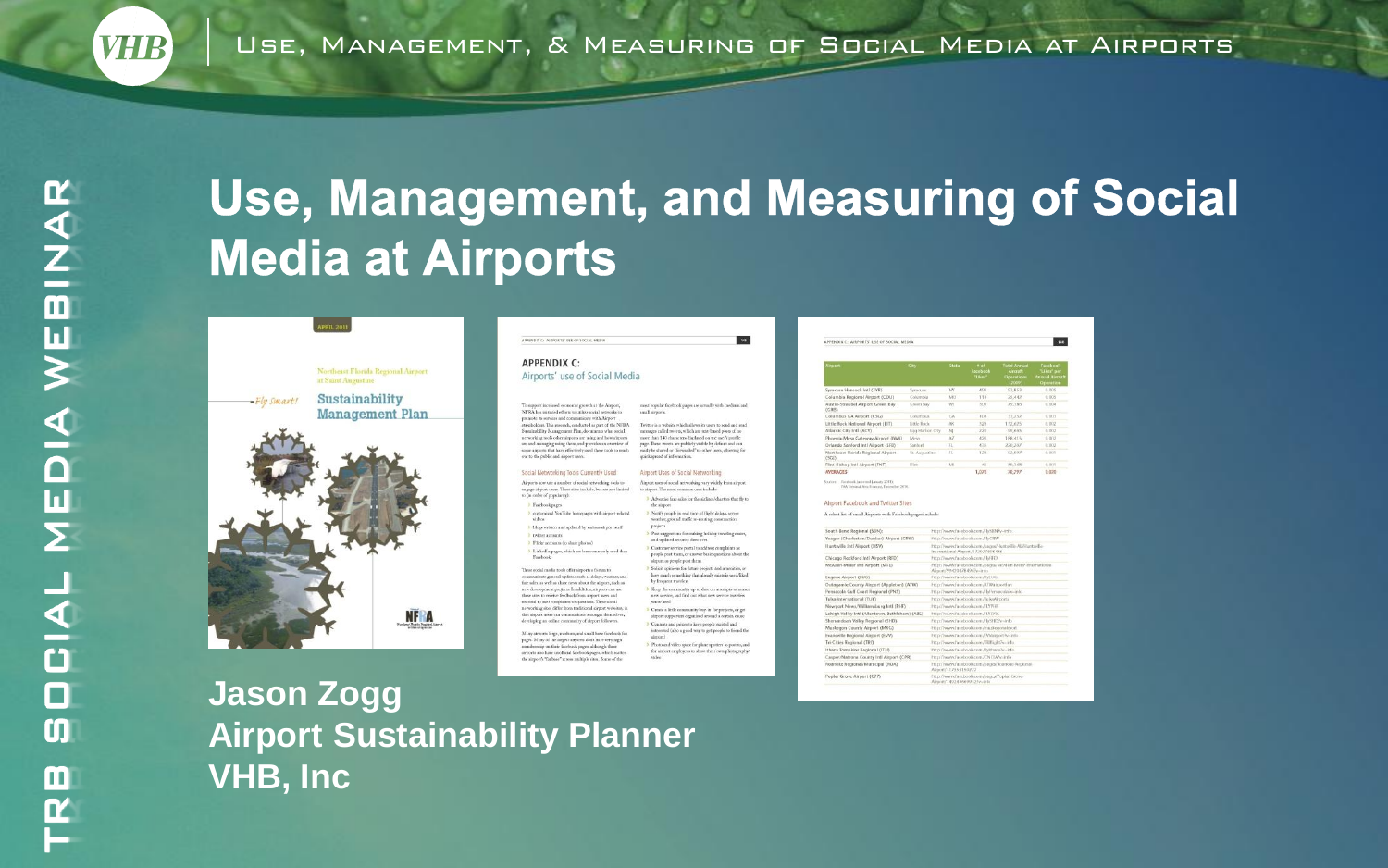## **Use, Management, and Measuring of Social Media at Airports**



#### **Jason Zogg Airport Sustainability Planner VHB, Inc**

APPENDIX.C: AIRPORTS' USE OF SOCIAL MEDIA **APPENDIX C:** 

Airports' use of Social Medi

To support increased contomic growth at the Airport<br>NFRA has initiated efforts to stillize social networks  $\tau$ 

propose its services and communicate with Airport proximent to services and continuumscent with early-on.<br>exhibitdings This managely conducted as ever of the NED & enotoens. This research, conducted as part of the NFP<br>similitäry Maxagement Plan, documents what social<br>sorking tools other airports are using and how airpor e and managing using them, and provides an overviewto airports that have effectively used these tools to reach out to the public and aleport users. Social Networking Tools Currently Used Airports now use a number of social networking took to Autports now use a number of social networking tools<br>engage altport users. These sites include, but are not li to (in order of popularity): **Exercise and** customized YouTube homepages with airport-related

videos 2. blogs written and spdated by various sixport staff **ENTIRE ACCOUNTS** 2 Flate accounts freehous planned Linkedin paper, which are less commonly used than

Farebook These social media tools offer airports a fornin to stricate general updates such as delays, weather, a fare sales, as well as share news about the sirport, such as a deseligencer renierts. In addition aimeets can re elopment projects. In addition, sin<br>es to receive feedback from sirport se sits to receive feedback from airport uses and<br>pond to user complaints or questions. These social<br>tworking sites differ from traditional airport websites, is

at aimort users can communicate amongst themselves being as online community of stewart followers. pages. Many of the largest airports don't have very high<br>membership on their fiscebook pages, although these .<br>irports also have unofficial facebook pages, which scattes<br>he airport's "fanbase" across multiple sites. Some of the

| ш                                                                                                                    | APPENDIX C: J                       |
|----------------------------------------------------------------------------------------------------------------------|-------------------------------------|
|                                                                                                                      | <b>Arport</b>                       |
| a                                                                                                                    |                                     |
|                                                                                                                      | Syracuse Har                        |
|                                                                                                                      | Columbia Br                         |
| most popular facebook pages are actually with medium and<br>small sirports.                                          | Austin Strau<br>(CRB)<br>Columbus G |
| Twitter is a website which allows its users to send and read                                                         | Little Rock N                       |
| messages called resees, which are tear-based poets of no                                                             | Atlantic City                       |
| more than 140 characters displayed on the user's profile                                                             | Phoenix-Mer                         |
| trape. These royerts are publicly visible by default and can                                                         | Orlando San                         |
| easily be shared or "forwarded" to other users, allowing for<br>quick spread of information.                         | Northeast El<br>(SGD)               |
|                                                                                                                      | Flint-Bishop                        |
| Airport Uses of Social Networking                                                                                    | <b>AVERAGES</b>                     |
| Airport uses of social networking vary widely from airport<br>to airport. The most common uses include:              | Sources: Faceby<br>EAA To           |
| > Advertise fare sales for the airlines/charters that fly to<br>the simport                                          | Airport Fac                         |
| > Nonfy people in seal time of flight delays, severe<br>weather, ground traffic re-routing, construction<br>projects | A select list of                    |
| > Post suggestions for making holiday traveling easier,                                                              | South Bend                          |
| and updated security directives                                                                                      | Yeager (Cha                         |
| 3 Customer service portal to address complaints as                                                                   | Huntsville Jn                       |
| people post them, or answer basic questions about the<br>sirport as people post them.                                | Chicago Roc                         |
| > Solicit opinions for future projects and amenities, or                                                             | McAllem-Mill                        |
| how much something that already exists is used liked.                                                                | Esgene Airp                         |
| by frequent travelers                                                                                                | Out egemie 0                        |
| > Keep the community up to date on attempts to attract                                                               | Pensacola G                         |
| new service, and find out what new service travelers                                                                 | Tulsa Interna                       |
| wate/aced                                                                                                            | Newport Ne                          |
| > Create a little constrainty buy-in for projects, or get                                                            | Lehigh Valley                       |
| airport supporters organized around a orrisin cause                                                                  | Shenandoah                          |
| <sup>3</sup> Contrate and prizes to keep people stelled and                                                          | Muskepon C                          |
| interested (also a good way to get people to friend the<br>airport).                                                 | Evanoville Re                       |
|                                                                                                                      | Tri-Cities Ree                      |
| > Photo and video space for plane spotters to post to, and<br>for aimort employees to show their own photographs'    | Ithaca Toma                         |
|                                                                                                                      |                                     |

|                                                                                                              |                  |                 | Facebook<br>"Likes" | Aircraft<br>Operations<br>(2009). | "Likes" per<br><b>Annual Aircy</b><br>Operation |
|--------------------------------------------------------------------------------------------------------------|------------------|-----------------|---------------------|-----------------------------------|-------------------------------------------------|
| Syracuse Hancock Intl (SYR)                                                                                  | Synacuse         | NY              | 499                 | 93.RS3                            | 0.005                                           |
| Columbia Regional Airport (COU)                                                                              | Columbia         | NO <sub>1</sub> | 118                 | 26,642                            | 0.065                                           |
| Austin Straubel Airport Green Ray<br>(CRIS)                                                                  | <b>Gheen Bay</b> | w               | 300                 | 70,386                            | 0.004                                           |
| Columbus CA Airport (CSG)                                                                                    | Columbus         | CA              | 104                 | $-33.252$                         | 0.003                                           |
| Little Rock National Airport (LIT)                                                                           | Little Rock      | AK.             | 3.28                | 112,625                           | 0.002                                           |
| Atlantic City Intl (ACY)                                                                                     | Eag Harbor City  | $N_{\rm d}$     | 226                 | 99.665                            | 0.002                                           |
| Phoenix-Mesa Gateway Airport (IWA)                                                                           | Meia             | AZ              | 420                 | 188.415                           | 0.092                                           |
| Orlando Sanford Intl Airport (SFB)                                                                           | Santond          | 11              | 4.15                | 220,207                           | $n$ naz                                         |
| Northeast Florida Regional Airport<br>(SGD)                                                                  | St. Augustine    | $\mathfrak{a}$  | 128                 | 92,597                            | 0.001                                           |
| Flint-Bishop let! Airport (FNT)                                                                              | Tire.            | M               | 45                  | 59,368                            | 0.001                                           |
| <b>AVERAGES</b><br>Sources - Facebook Leconood Lencary 2011's<br>EAA Tommul Avea Ferrerad, Universitar 2010. |                  |                 | 1,076               | 70,797                            | 0.020                                           |

| South Bend Regional (SBN):                     | http://www.facebook.com/Fh/SBN/v-info                                                      |
|------------------------------------------------|--------------------------------------------------------------------------------------------|
| Yeager (Charleston/Dunbar) Airport (CRW)       | fitter//www.facebook.com/FbCRW                                                             |
| Huntsville Jrrl Airport (HSV)                  | http://www.facebook.com/pages/Hunterlie-AL/Huntsvlle-<br>International Aimeet/172077608486 |
| Chicago Rockford Inti Airport (RFD)            | http://www.facebook.com/FMFD                                                               |
| McAllen-Miller Intl Airport (MFE)              | http://www.facebook.com/pages/McAlien-Miller-International-<br>Arport/994203784967v-info.  |
| Esqene Airport (EUG)                           | http://www.facebook.com/fbEUG                                                              |
| Outagamie County Airport (Appleton) (ATW)      | http://www.facebook.com/APWalsportlan                                                      |
| Pensacola Gulf Coast Regional (PNS)            | Mite Dwwelaudook.com/Hdwsacola?e-irlo.                                                     |
| Tulsa International (TUL)                      | http://www.facebook.com/TulsaAirports                                                      |
| Newport News/Willamsburg Intl (PHF)            | http://www.facabook.com/FLYPEF                                                             |
| Lehigh Valley Inti (Allentown/Bethlehem) (AEE) | http://www.facebook.com/FUYIVM                                                             |
| Shenandoah Valley Regional (SHD)               | http://www.facabook.com/FhSHD?v=info.                                                      |
| Muskegon County Airport (MKG)                  | http://www.facebook.com/muskoponshport.                                                    |
| Evanwille Regional Airport (EVV)               | http://www.facebook.com/li Wairport?v~info                                                 |
| Tri-Cities Regional (TRI)                      | http://www.facebook.com/Tilffight?evirdo                                                   |
| Ithaca Tomskins Regional (ITH)                 | http://www.facebook.com/flyithace?e=info                                                   |
| Casper/Natrons County Intl Airport (CPR)       | http://www.facebook.com/CNCAPv.info.                                                       |
| Roanoke Regional/Municipal (ROA)               | http://www.facebook.com/pages/licenske-Regional<br>Airport (11.755.3150222                 |
| Poplar Grove Airport (C77)                     | http://www.facebook.com/pages/Poplar-Grove-<br>Ricecon /1.463.00-66803.73s - John          |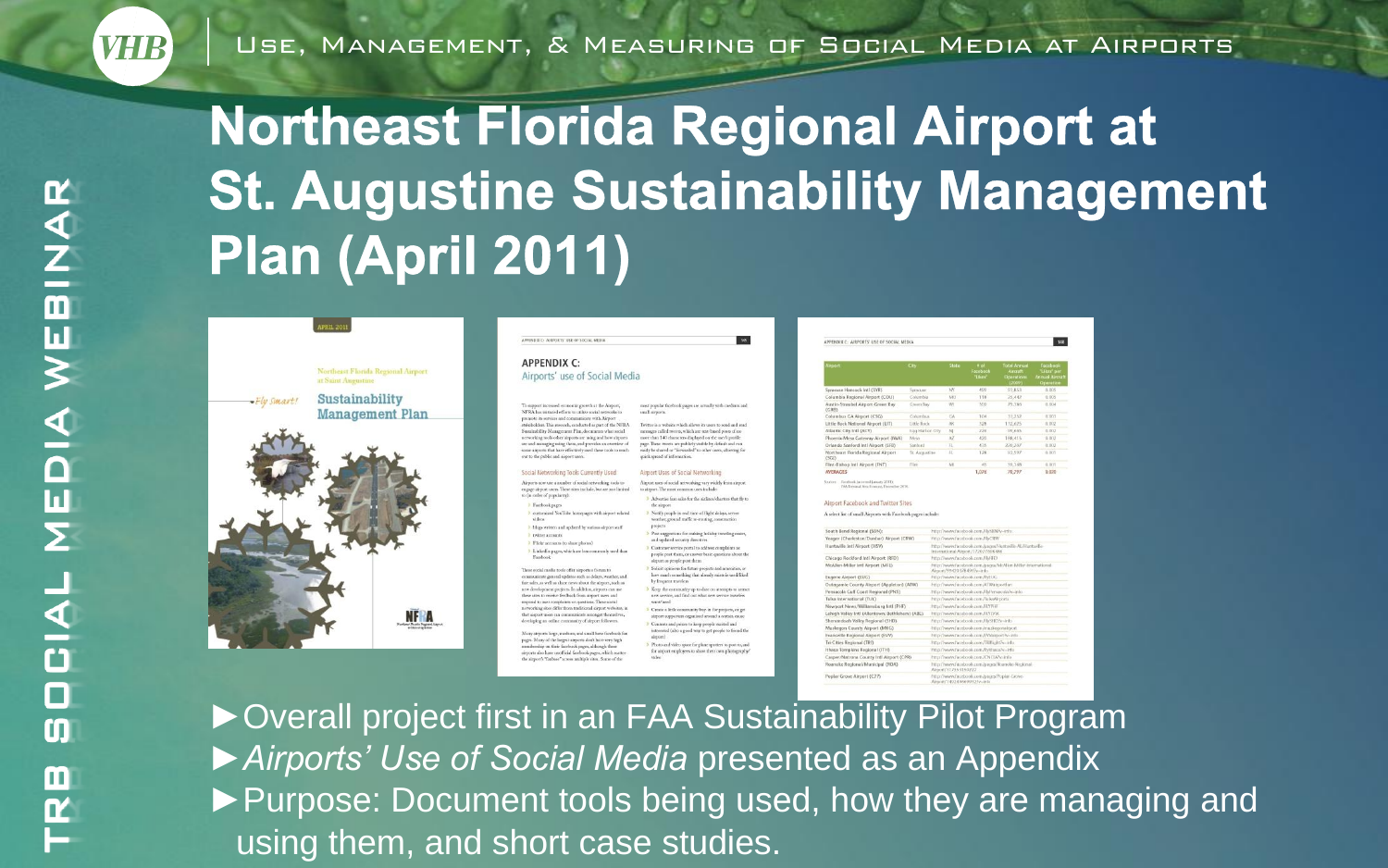# **Northeast Florida Regional Airport at St. Augustine Sustainability Management** Plan (April 2011)



| APPENDIX.C: AIRPORTS' USE OF SOCIAL MEDIA                                                                                                                                                                                                                                                                                                                                                                 | 345                                                                                                                                                                                                                                                                                                                                                |
|-----------------------------------------------------------------------------------------------------------------------------------------------------------------------------------------------------------------------------------------------------------------------------------------------------------------------------------------------------------------------------------------------------------|----------------------------------------------------------------------------------------------------------------------------------------------------------------------------------------------------------------------------------------------------------------------------------------------------------------------------------------------------|
| <b>APPENDIX C:</b>                                                                                                                                                                                                                                                                                                                                                                                        |                                                                                                                                                                                                                                                                                                                                                    |
| Airports' use of Social Media                                                                                                                                                                                                                                                                                                                                                                             |                                                                                                                                                                                                                                                                                                                                                    |
| To support increased economic growth at the Airport,                                                                                                                                                                                                                                                                                                                                                      | most pupular facebook pages are actually with medium and                                                                                                                                                                                                                                                                                           |
| NFRA has initiated efforts to utilize social networks to                                                                                                                                                                                                                                                                                                                                                  | small sirports.                                                                                                                                                                                                                                                                                                                                    |
| promote its services and communicate with Airport<br>stakeholders. This research, conducted as part of the NFRA<br>Sunitability Mangeesent Plan, documents what social<br>networking tools other airports are using and how airports<br>are and managing using them, and provides an oversiew of<br>some sirports that have effectively used these tools to reach<br>out to the public and aleport users. | Twitter is a website which allows its users to send and read<br>messages called resees, which are tear-based poets of no<br>more than 140 characters displayed on the user's profile<br>page. These tweets are publicly visible by default and can<br>easily be shared or "forwarded" to other users, allowing for<br>quick spread of information. |
| Social Networking Tools Currently Used                                                                                                                                                                                                                                                                                                                                                                    | Airport Uses of Social Networking                                                                                                                                                                                                                                                                                                                  |
| Airports now use a number of social networking tools to                                                                                                                                                                                                                                                                                                                                                   | Airport uses of social networking vary widely from airport                                                                                                                                                                                                                                                                                         |
| eagage aiment users. These sites include, but are not limited                                                                                                                                                                                                                                                                                                                                             | to airport. The most common uses include:                                                                                                                                                                                                                                                                                                          |
| to (in order of popularity).                                                                                                                                                                                                                                                                                                                                                                              | > Advertise fare sales for the airlines/charters that fly to                                                                                                                                                                                                                                                                                       |
| Facebook pages                                                                                                                                                                                                                                                                                                                                                                                            | the sirport                                                                                                                                                                                                                                                                                                                                        |
| > customized YouTube homepages with airport-related<br>videos<br>2. Mogs written and updated by various sisport staff<br>P PASSAGE ACCOUNTS                                                                                                                                                                                                                                                               | > Nonfy people in seal time of flight delays, severe<br>weather, ground traffic re-routing, construction<br>projects<br>3 Post suggestions for audcing holiday traveling easier,<br>and updated security directives                                                                                                                                |
| 3 Flickr accounts (to share photos)                                                                                                                                                                                                                                                                                                                                                                       | > Customer service portal to address complaints as                                                                                                                                                                                                                                                                                                 |
| > LinkedIn pages, which are less commonly used than                                                                                                                                                                                                                                                                                                                                                       | people post them, or answer basic questions about the                                                                                                                                                                                                                                                                                              |
| Farebook                                                                                                                                                                                                                                                                                                                                                                                                  | sirport as people post them.                                                                                                                                                                                                                                                                                                                       |
| These social media tools offer airports a forum to                                                                                                                                                                                                                                                                                                                                                        | > Solicit opinions for future projects and amenities, or                                                                                                                                                                                                                                                                                           |
| communicate general updates such as delays, weather, and                                                                                                                                                                                                                                                                                                                                                  | how much something that already exists is used liked.                                                                                                                                                                                                                                                                                              |
| fare sales, as well as share news about the sirport, auch as                                                                                                                                                                                                                                                                                                                                              | by frequent travelers                                                                                                                                                                                                                                                                                                                              |
| new development projects. In addition, nitports can use                                                                                                                                                                                                                                                                                                                                                   | > Keep the community up to date on attempts to attract                                                                                                                                                                                                                                                                                             |
| these sites to receive feedback from signort users and                                                                                                                                                                                                                                                                                                                                                    | new service, and find out what new service travelers                                                                                                                                                                                                                                                                                               |
| respond to user complaints or questions. These social                                                                                                                                                                                                                                                                                                                                                     | wan/and                                                                                                                                                                                                                                                                                                                                            |
| networking sites differ from traditional sitport websites, in                                                                                                                                                                                                                                                                                                                                             | > Create a little community buy-in for projects, or get                                                                                                                                                                                                                                                                                            |
| that airport users can communicate amongst themselves,                                                                                                                                                                                                                                                                                                                                                    | airport supporters organized around a orman cause.                                                                                                                                                                                                                                                                                                 |
| developing as online community of airport followers.                                                                                                                                                                                                                                                                                                                                                      | 3 Contrata and prizes to keep people stelled and                                                                                                                                                                                                                                                                                                   |
| Many signors large, medium, and small have facebook fan                                                                                                                                                                                                                                                                                                                                                   | interested (also a good way to get people to friend the                                                                                                                                                                                                                                                                                            |
| pages. Many of the largest airports don't have very high                                                                                                                                                                                                                                                                                                                                                  | siepist)                                                                                                                                                                                                                                                                                                                                           |
| membership on their facebook pages, although these                                                                                                                                                                                                                                                                                                                                                        | > Photo and video space for plane spotters to post to, and                                                                                                                                                                                                                                                                                         |
| airports also luste unofficial facebook pages, which scatter                                                                                                                                                                                                                                                                                                                                              | for aimort employees to show their own photographs'                                                                                                                                                                                                                                                                                                |
| the airport's "Imbase" across multiple sites. Some of the                                                                                                                                                                                                                                                                                                                                                 | sideo                                                                                                                                                                                                                                                                                                                                              |

|                                                                                                                                                                                                                                                                                                                                       |                  |                      |                                                                         |                                                             | ٠                                                  |
|---------------------------------------------------------------------------------------------------------------------------------------------------------------------------------------------------------------------------------------------------------------------------------------------------------------------------------------|------------------|----------------------|-------------------------------------------------------------------------|-------------------------------------------------------------|----------------------------------------------------|
| Airport.                                                                                                                                                                                                                                                                                                                              | <b>City</b>      | State                | # of<br>Facebook<br>"Likes"                                             | <b>Total Annual</b><br>Aircraft<br>Operations<br>(2009).    | Facebook<br>"Likes" per<br>Annual Air<br>Operation |
| Syracuse Hancock Intl (SYR)                                                                                                                                                                                                                                                                                                           | Synacuse:        | NY                   | 499                                                                     | 97.853                                                      | n.ms                                               |
| Columbia Regional Airport (COU)                                                                                                                                                                                                                                                                                                       | Columbia         | MO                   | 118                                                                     | 25,642                                                      | 0.065                                              |
| Austin Straubel Airport Green Ray<br>(CRIS)                                                                                                                                                                                                                                                                                           | <b>Ghuen Bay</b> | w                    | 300                                                                     | 79,386                                                      | 0.004                                              |
| Columbus CA Airport (CSG)                                                                                                                                                                                                                                                                                                             | Columbus         | CA                   | 104                                                                     | 33, 252                                                     | 0.003                                              |
| Little Rock National Airport (LIT)                                                                                                                                                                                                                                                                                                    | Little Rock      | $\Delta E$           | 3.28                                                                    | 112,625                                                     | 0.002                                              |
| Atlantic City Intl (ACY)                                                                                                                                                                                                                                                                                                              | East Harbor City | N                    | 226                                                                     | 99.665                                                      | 0.002                                              |
| Phoenix-Mesa Gateway Airport (IWA)                                                                                                                                                                                                                                                                                                    | Meia             | A2                   | 420                                                                     | 188.415                                                     | 0.092                                              |
| Orlando Sanford Intl Airport (SFB)                                                                                                                                                                                                                                                                                                    | Sentimi          | 71.                  | 435                                                                     | 220,207                                                     | 0.002                                              |
| Northeast Florida Regional Airport<br>(SGD)                                                                                                                                                                                                                                                                                           | St. Augustine    | FL:                  | 128                                                                     | 97.597                                                      | 0.001                                              |
| Flint-Bishop let! Airport (FNT)                                                                                                                                                                                                                                                                                                       | Tire.            | M                    | 45                                                                      | 59,368                                                      | 0.001                                              |
| <b>AVERAGES</b>                                                                                                                                                                                                                                                                                                                       |                  |                      | 1.076                                                                   | 70.797                                                      | 0.020                                              |
| Airport Facebook and Twitter Sites<br>A select list of small Airports with Fatebook pages include:                                                                                                                                                                                                                                    |                  |                      |                                                                         |                                                             |                                                    |
|                                                                                                                                                                                                                                                                                                                                       |                  |                      |                                                                         |                                                             |                                                    |
| South Bend Regional (SBN):                                                                                                                                                                                                                                                                                                            |                  |                      | http://www.facebook.com/FlySBN/v-info<br>fitter//www.facebook.com/FbCRW |                                                             |                                                    |
|                                                                                                                                                                                                                                                                                                                                       |                  |                      |                                                                         | http://www.facebook.com/pages/Huntedle-AL/Huntsvlle-        |                                                    |
|                                                                                                                                                                                                                                                                                                                                       |                  |                      | International-Almost/172077608486<br>http://www.facebook.com/FMFD       |                                                             |                                                    |
|                                                                                                                                                                                                                                                                                                                                       |                  |                      | Argon/994203784947v-info                                                | http://www.facebook.com/pages/McAlien-Miller-International- |                                                    |
|                                                                                                                                                                                                                                                                                                                                       |                  |                      | http://www.facebook.com/fbEUG                                           |                                                             |                                                    |
|                                                                                                                                                                                                                                                                                                                                       |                  |                      | http://www.facabook.com/A?Waisportlan                                   |                                                             |                                                    |
|                                                                                                                                                                                                                                                                                                                                       |                  |                      | Mitr.//www.lacabook.com/EbPersacola?v-irdo.                             |                                                             |                                                    |
|                                                                                                                                                                                                                                                                                                                                       |                  |                      | http://www.facebook.com/TulsaAirports.                                  |                                                             |                                                    |
| Yeager (Charleston/Dunbar) Airport (CRW)<br>Huntsville Intl Airport (HSV)<br>Chicago Rockford Inti Airport (RFD)<br>McAllen-Miller Intl Airport (MFE)<br>Eugene Airport (EUG)<br>Outagamie County Airport (Appleton) (ATW)<br>Pensacola Gulf Coast Regional (PNS)<br>Tulsa International (TUL)<br>Newport News/Willamsburg Intl (PHF) |                  |                      | http://www.facabook.com/FLYPHF                                          |                                                             |                                                    |
|                                                                                                                                                                                                                                                                                                                                       |                  |                      | http://www.facebook.com/E1YIV16.                                        |                                                             |                                                    |
|                                                                                                                                                                                                                                                                                                                                       |                  |                      | http://www.facabook.com/FfrSHD?v=info.                                  |                                                             |                                                    |
| Lehigh Valley Inti (Allentown/Bethlehem) (ABE)<br>Shenandoah Valley Regional (SHD)<br>Muskegon County Airport (MKG)                                                                                                                                                                                                                   |                  |                      | http://www.facebook.com/muskoponshyort                                  |                                                             |                                                    |
| Evansville Regional Airport (EVV)                                                                                                                                                                                                                                                                                                     |                  |                      | http://www.facibook.com/li.Wairport?v~info.                             |                                                             |                                                    |
| Tri-Cities Regional (TRO                                                                                                                                                                                                                                                                                                              |                  |                      | http://www.facebook.com/TRIfight?evinfo                                 |                                                             |                                                    |
|                                                                                                                                                                                                                                                                                                                                       |                  |                      | http://www.facebook.com/flyithaca?v=info                                |                                                             |                                                    |
| Ithaca Tomakins Regional (ITH)<br>Casper/Natrons County Intl Airport (CPR)                                                                                                                                                                                                                                                            |                  |                      | http://www.licrkeek.com/CNCAPv-info                                     |                                                             |                                                    |
| Roanoke Regional/Municipal (ROA)<br>Poplar Grove Airport (C77)                                                                                                                                                                                                                                                                        |                  | Airport/317553150222 | http://www.facebook.com/pages/Poplar.Grove-                             | http://www.facebook.com/pages/lloanoke-Regional-            |                                                    |

▶ Overall project first in an FAA Sustainability Pilot Program ►*Airports' Use of Social Media* presented as an Appendix ▶ Purpose: Document tools being used, how they are managing and using them, and short case studies.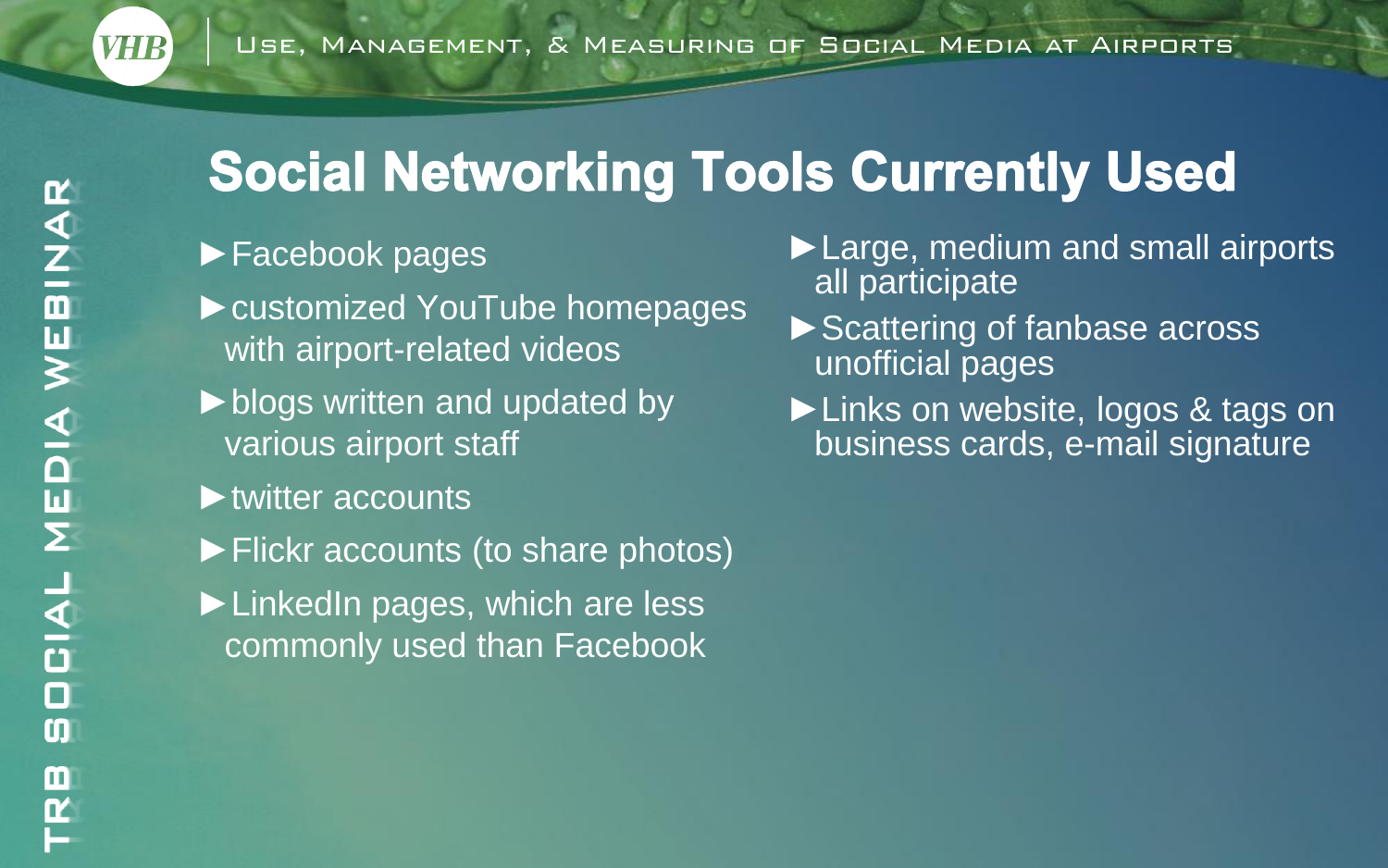## **Social Networking Tools Currently Used**

#### ►Facebook pages

- ►customized YouTube homepages with airport-related videos
- ►blogs written and updated by various airport staff
- ►twitter accounts
- ►Flickr accounts (to share photos)
- ►LinkedIn pages, which are less commonly used than Facebook
- ►Large, medium and small airports all participate
- ▶ Scattering of fanbase across unofficial pages
- ►Links on website, logos & tags on business cards, e-mail signature

**VHR**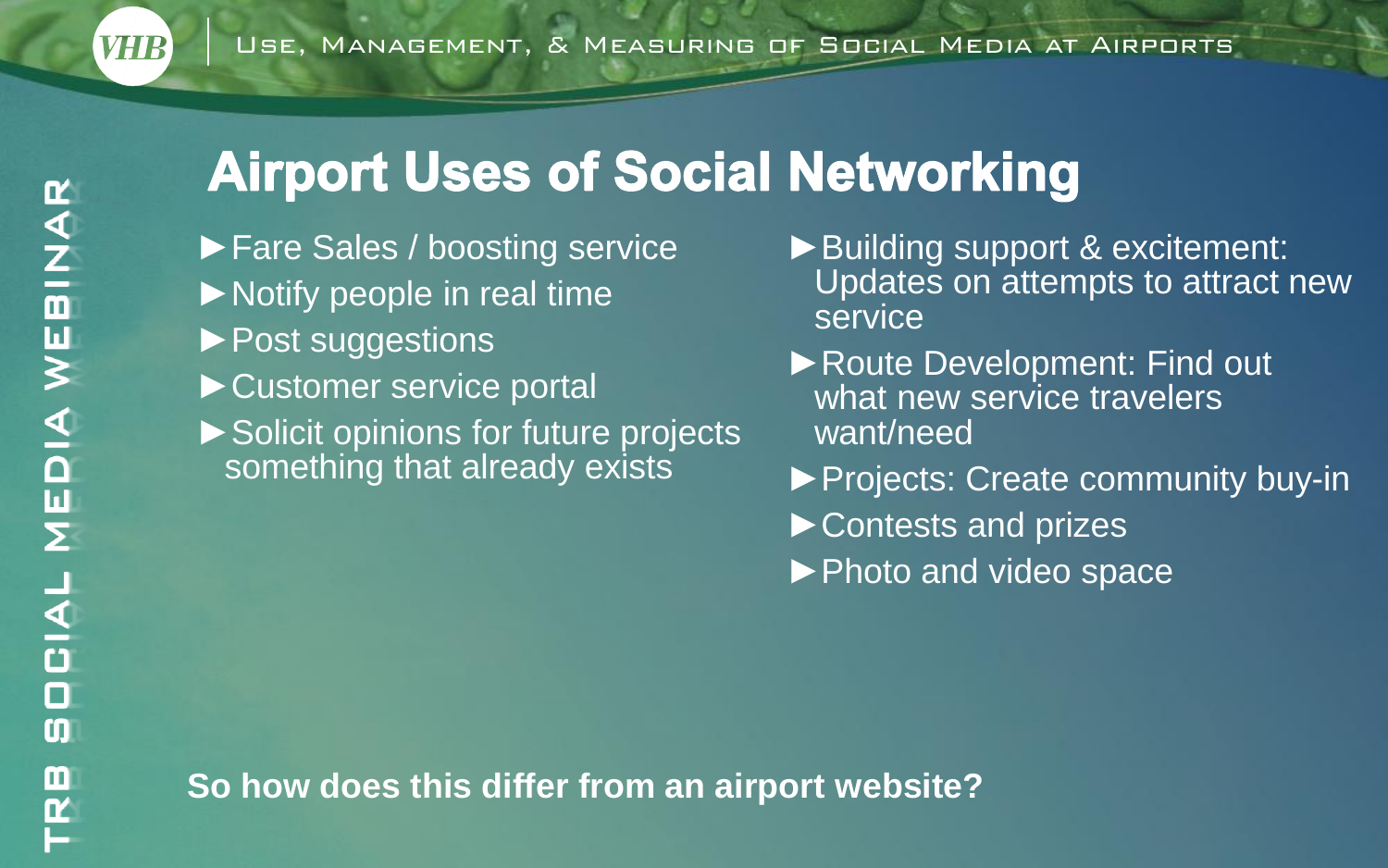## **Airport Uses of Social Networking**

- ►Fare Sales / boosting service ►Notify people in real time ►Post suggestions ►Customer service portal ►Solicit opinions for future projects something that already exists
- ►Building support & excitement: Updates on attempts to attract new service
- ►Route Development: Find out what new service travelers want/need
- ►Projects: Create community buy-in
- ►Contests and prizes
- ►Photo and video space

**So how does this differ from an airport website?**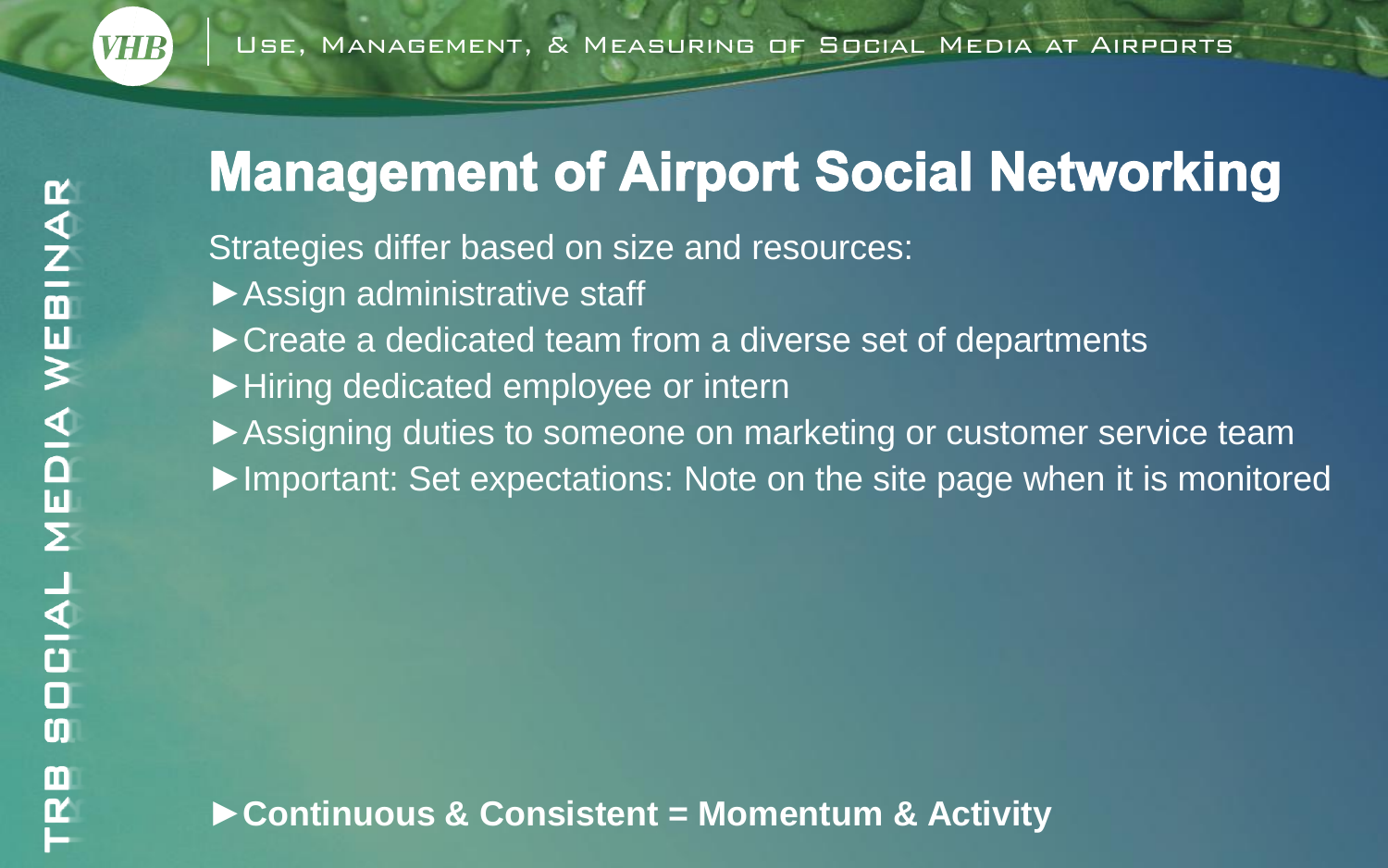## **Management of Airport Social Networking**

Strategies differ based on size and resources:

- ▶ Assign administrative staff
- ►Create a dedicated team from a diverse set of departments
- ►Hiring dedicated employee or intern
- ► Assigning duties to someone on marketing or customer service team
- ►Important: Set expectations: Note on the site page when it is monitored

**VHR**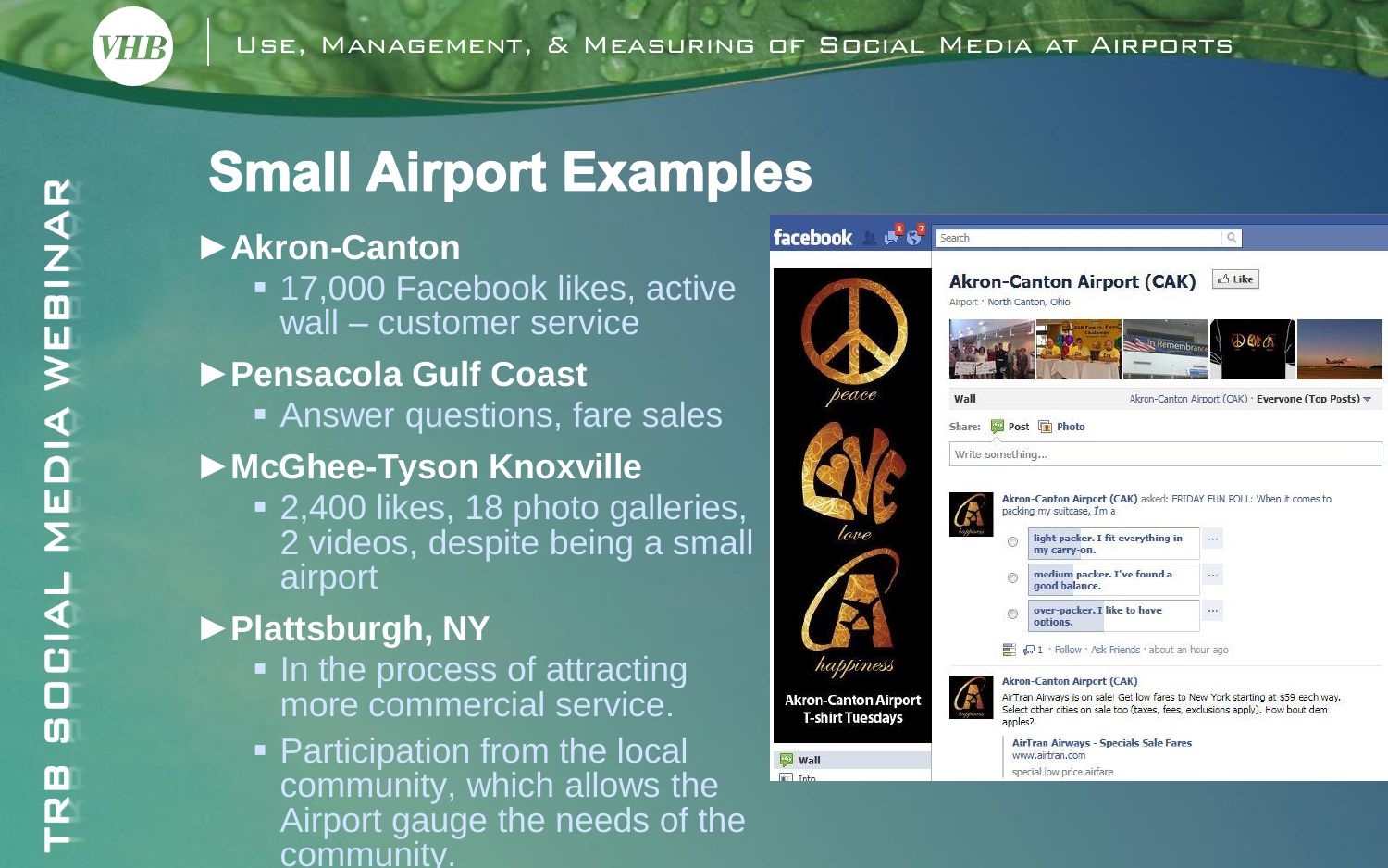# WEBINAR MEDIA **DCIAL**  $\boldsymbol{\mathsf{C}}$ TRB

**VHR** 

## **Small Airport Examples**

#### ►**Akron-Canton**

■ 17,000 Facebook likes, active wall – customer service

#### ►**Pensacola Gulf Coast**

**Answer questions, fare sales** 

### ►**McGhee-Tyson Knoxville**

■ 2,400 likes, 18 photo galleries, 2 videos, despite being a small airport

## ►**Plattsburgh, NY**

- In the process of attracting more commercial service.
- **Participation from the local** community, which allows the Airport gauge the needs of the community.

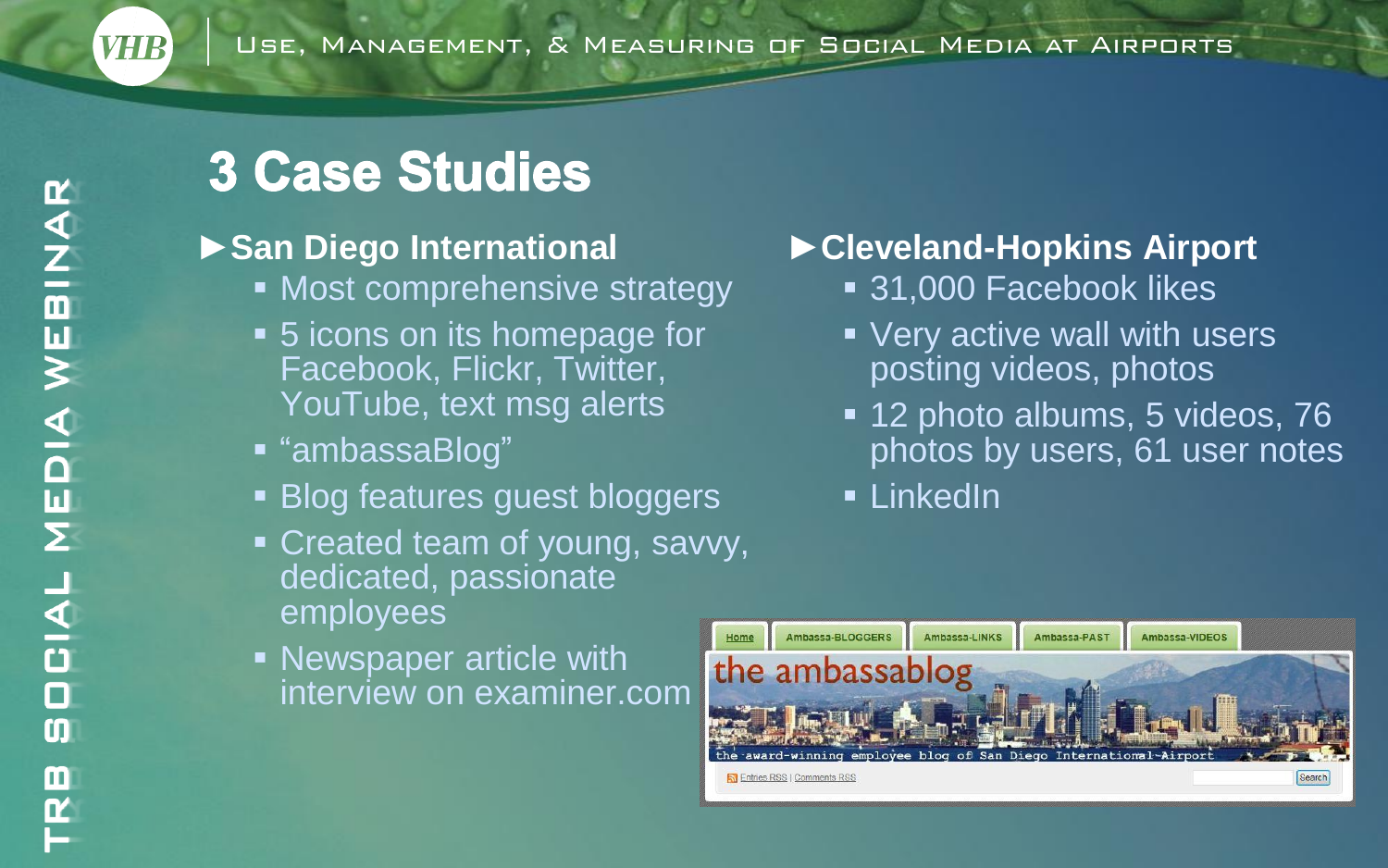## **3 Case Studies**

#### ►**San Diego International**

- Most comprehensive strategy
- 5 icons on its homepage for Facebook, Flickr, Twitter, YouTube, text msg alerts
- "ambassaBlog"
- **Blog features quest bloggers**
- **Created team of young, savvy,** dedicated, passionate employees
- **Newspaper article with** interview on examiner.com

#### ►**Cleveland-Hopkins Airport**

- **31,000 Facebook likes**
- Very active wall with users posting videos, photos
- **12 photo albums, 5 videos, 76** photos by users, 61 user notes
- **ELinkedIn**



*VHR*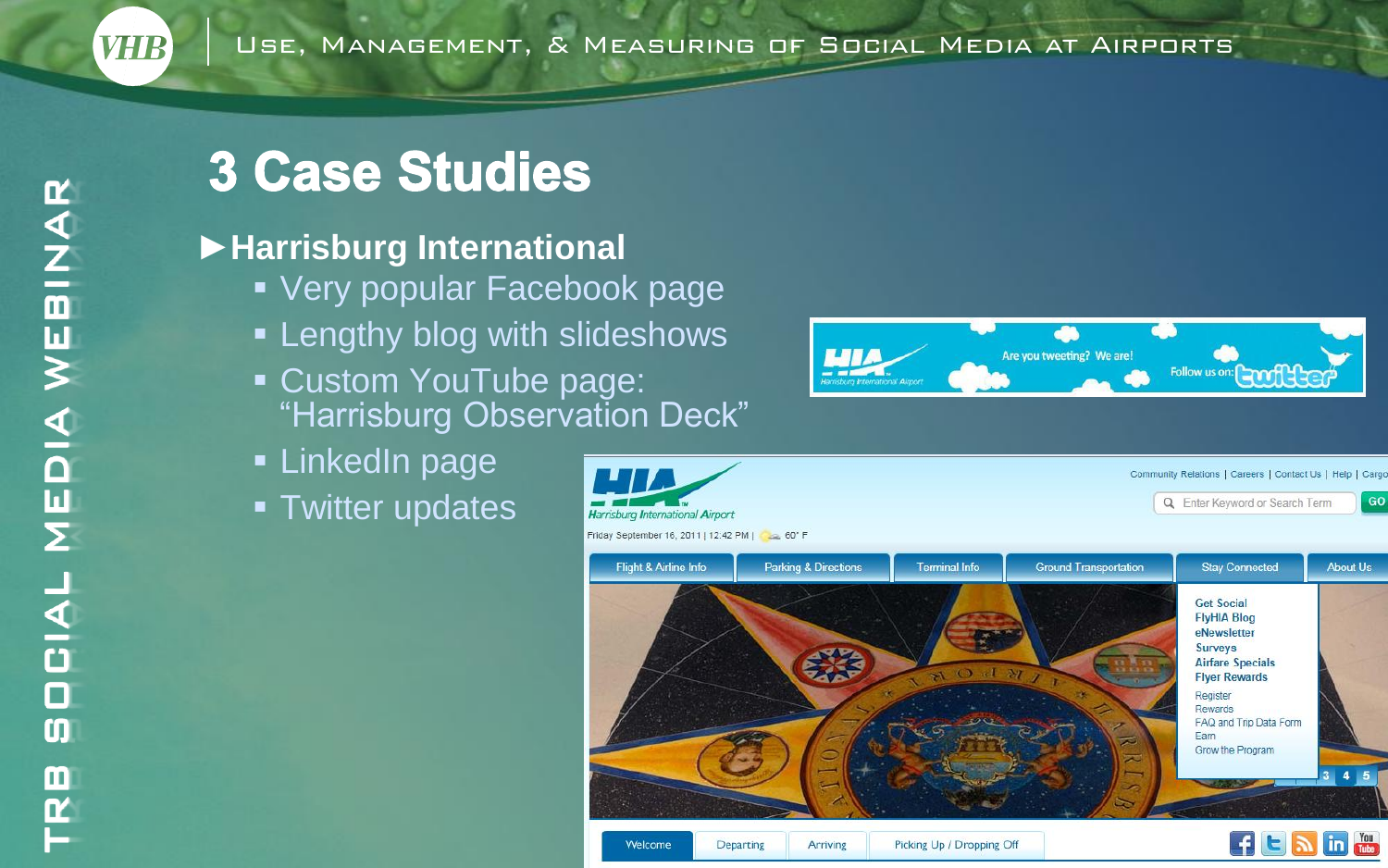## **3 Case Studies**

#### ►**Harrisburg International**

- **Very popular Facebook page**
- **Example 2** Lengthy blog with slideshows
- Custom YouTube page: "Harrisburg Observation Deck"
- **LinkedIn page**
- **Twitter updates**





*VHIB*